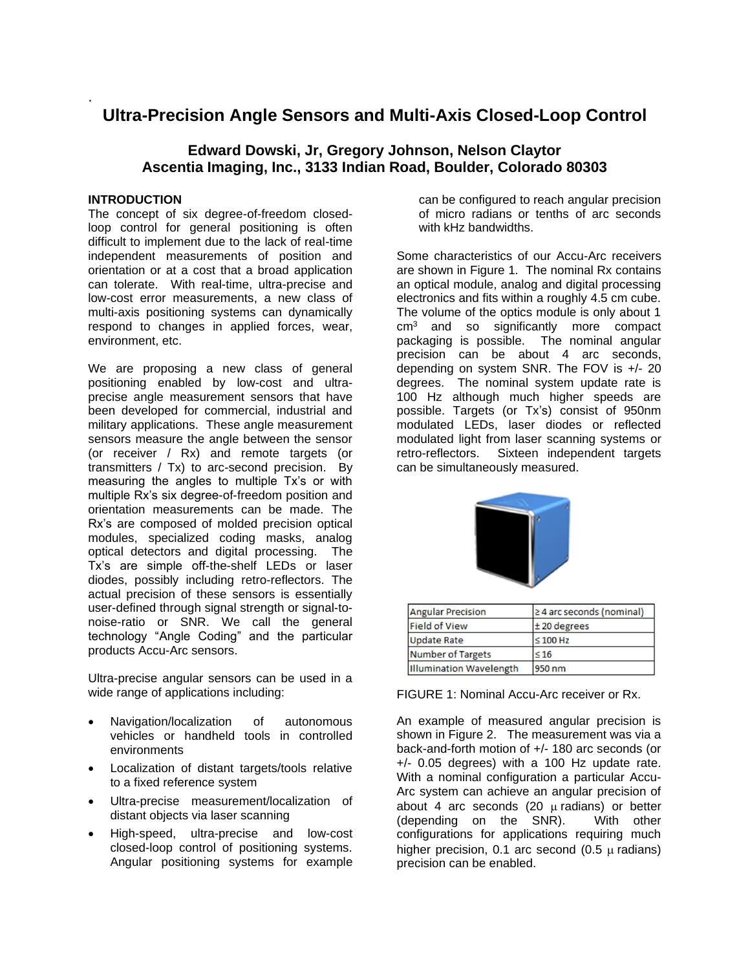# **Ultra-Precision Angle Sensors and Multi-Axis Closed-Loop Control**

# **Edward Dowski, Jr, Gregory Johnson, Nelson Claytor Ascentia Imaging, Inc., 3133 Indian Road, Boulder, Colorado 80303**

# **INTRODUCTION**

.

The concept of six degree-of-freedom closedloop control for general positioning is often difficult to implement due to the lack of real-time independent measurements of position and orientation or at a cost that a broad application can tolerate. With real-time, ultra-precise and low-cost error measurements, a new class of multi-axis positioning systems can dynamically respond to changes in applied forces, wear, environment, etc.

We are proposing a new class of general positioning enabled by low-cost and ultraprecise angle measurement sensors that have been developed for commercial, industrial and military applications. These angle measurement sensors measure the angle between the sensor (or receiver / Rx) and remote targets (or transmitters / Tx) to arc-second precision. By measuring the angles to multiple Tx's or with multiple Rx's six degree-of-freedom position and orientation measurements can be made. The Rx's are composed of molded precision optical modules, specialized coding masks, analog optical detectors and digital processing. The Tx's are simple off-the-shelf LEDs or laser diodes, possibly including retro-reflectors. The actual precision of these sensors is essentially user-defined through signal strength or signal-tonoise-ratio or SNR. We call the general technology "Angle Coding" and the particular products Accu-Arc sensors.

Ultra-precise angular sensors can be used in a wide range of applications including:

- Navigation/localization of autonomous vehicles or handheld tools in controlled environments
- Localization of distant targets/tools relative to a fixed reference system
- Ultra-precise measurement/localization of distant objects via laser scanning
- High-speed, ultra-precise and low-cost closed-loop control of positioning systems. Angular positioning systems for example

can be configured to reach angular precision of micro radians or tenths of arc seconds with kHz bandwidths.

Some characteristics of our Accu-Arc receivers are shown in Figure 1. The nominal Rx contains an optical module, analog and digital processing electronics and fits within a roughly 4.5 cm cube. The volume of the optics module is only about 1  $cm<sup>3</sup>$  and so significantly more compact packaging is possible. The nominal angular precision can be about 4 arc seconds, depending on system SNR. The FOV is +/- 20 degrees. The nominal system update rate is 100 Hz although much higher speeds are possible. Targets (or Tx's) consist of 950nm modulated LEDs, laser diodes or reflected modulated light from laser scanning systems or retro-reflectors. Sixteen independent targets can be simultaneously measured.



| <b>Angular Precision</b>       | $\geq$ 4 arc seconds (nominal) |
|--------------------------------|--------------------------------|
| <b>Field of View</b>           | $±$ 20 degrees                 |
| <b>Update Rate</b>             | $\leq 100$ Hz                  |
| Number of Targets              | $\leq 16$                      |
| <b>Illumination Wavelength</b> | 950 nm                         |

FIGURE 1: Nominal Accu-Arc receiver or Rx.

An example of measured angular precision is shown in Figure 2. The measurement was via a back-and-forth motion of +/- 180 arc seconds (or +/- 0.05 degrees) with a 100 Hz update rate. With a nominal configuration a particular Accu-Arc system can achieve an angular precision of about 4 arc seconds (20  $\mu$  radians) or better (depending on the SNR). With other configurations for applications requiring much higher precision, 0.1 arc second  $(0.5 \mu \text{ radians})$ precision can be enabled.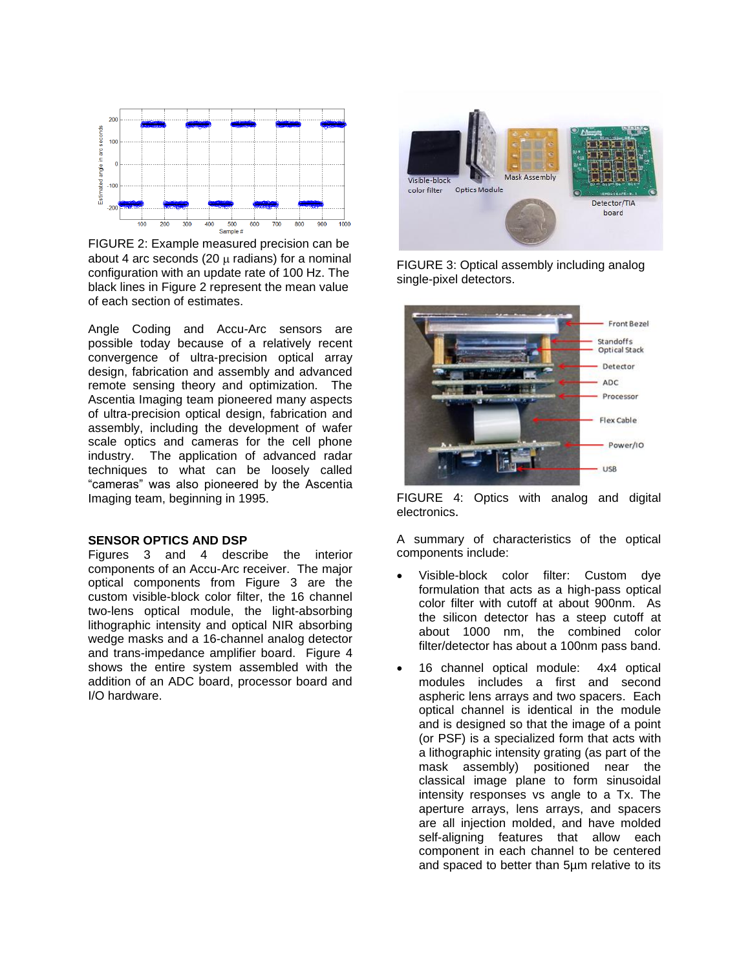

FIGURE 2: Example measured precision can be about 4 arc seconds (20  $\mu$  radians) for a nominal configuration with an update rate of 100 Hz. The black lines in Figure 2 represent the mean value of each section of estimates.

Angle Coding and Accu-Arc sensors are possible today because of a relatively recent convergence of ultra-precision optical array design, fabrication and assembly and advanced remote sensing theory and optimization. The Ascentia Imaging team pioneered many aspects of ultra-precision optical design, fabrication and assembly, including the development of wafer scale optics and cameras for the cell phone industry. The application of advanced radar techniques to what can be loosely called "cameras" was also pioneered by the Ascentia Imaging team, beginning in 1995.

#### **SENSOR OPTICS AND DSP**

Figures 3 and 4 describe the interior components of an Accu-Arc receiver. The major optical components from Figure 3 are the custom visible-block color filter, the 16 channel two-lens optical module, the light-absorbing lithographic intensity and optical NIR absorbing wedge masks and a 16-channel analog detector and trans-impedance amplifier board. Figure 4 shows the entire system assembled with the addition of an ADC board, processor board and I/O hardware.



FIGURE 3: Optical assembly including analog single-pixel detectors.



FIGURE 4: Optics with analog and digital electronics.

A summary of characteristics of the optical components include:

- Visible-block color filter: Custom dye formulation that acts as a high-pass optical color filter with cutoff at about 900nm. As the silicon detector has a steep cutoff at about 1000 nm, the combined color filter/detector has about a 100nm pass band.
- 16 channel optical module: 4x4 optical modules includes a first and second aspheric lens arrays and two spacers. Each optical channel is identical in the module and is designed so that the image of a point (or PSF) is a specialized form that acts with a lithographic intensity grating (as part of the mask assembly) positioned near the classical image plane to form sinusoidal intensity responses vs angle to a Tx. The aperture arrays, lens arrays, and spacers are all injection molded, and have molded self-aligning features that allow each component in each channel to be centered and spaced to better than 5µm relative to its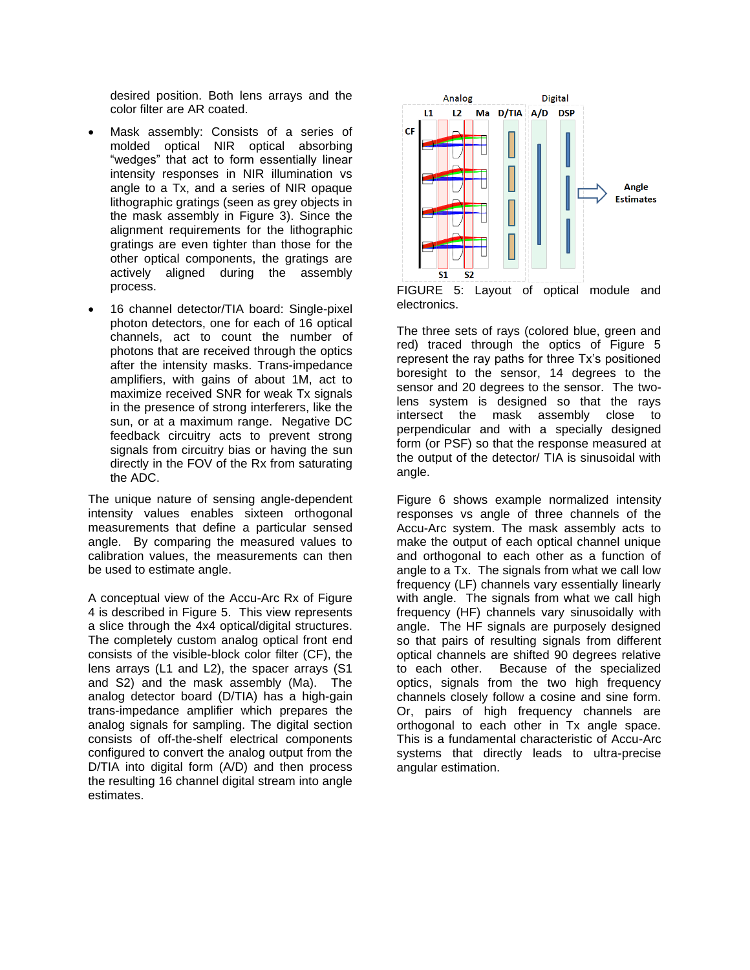desired position. Both lens arrays and the color filter are AR coated.

- Mask assembly: Consists of a series of molded optical NIR optical absorbing "wedges" that act to form essentially linear intensity responses in NIR illumination vs angle to a Tx, and a series of NIR opaque lithographic gratings (seen as grey objects in the mask assembly in Figure 3). Since the alignment requirements for the lithographic gratings are even tighter than those for the other optical components, the gratings are actively aligned during the assembly process.
- 16 channel detector/TIA board: Single-pixel photon detectors, one for each of 16 optical channels, act to count the number of photons that are received through the optics after the intensity masks. Trans-impedance amplifiers, with gains of about 1M, act to maximize received SNR for weak Tx signals in the presence of strong interferers, like the sun, or at a maximum range. Negative DC feedback circuitry acts to prevent strong signals from circuitry bias or having the sun directly in the FOV of the Rx from saturating the ADC.

The unique nature of sensing angle-dependent intensity values enables sixteen orthogonal measurements that define a particular sensed angle. By comparing the measured values to calibration values, the measurements can then be used to estimate angle.

A conceptual view of the Accu-Arc Rx of Figure 4 is described in Figure 5. This view represents a slice through the 4x4 optical/digital structures. The completely custom analog optical front end consists of the visible-block color filter (CF), the lens arrays (L1 and L2), the spacer arrays (S1 and S2) and the mask assembly (Ma). The analog detector board (D/TIA) has a high-gain trans-impedance amplifier which prepares the analog signals for sampling. The digital section consists of off-the-shelf electrical components configured to convert the analog output from the D/TIA into digital form (A/D) and then process the resulting 16 channel digital stream into angle estimates.



FIGURE 5: Layout of optical module and electronics.

The three sets of rays (colored blue, green and red) traced through the optics of Figure 5 represent the ray paths for three Tx's positioned boresight to the sensor, 14 degrees to the sensor and 20 degrees to the sensor. The twolens system is designed so that the rays intersect the mask assembly close to perpendicular and with a specially designed form (or PSF) so that the response measured at the output of the detector/ TIA is sinusoidal with angle.

Figure 6 shows example normalized intensity responses vs angle of three channels of the Accu-Arc system. The mask assembly acts to make the output of each optical channel unique and orthogonal to each other as a function of angle to a Tx. The signals from what we call low frequency (LF) channels vary essentially linearly with angle. The signals from what we call high frequency (HF) channels vary sinusoidally with angle. The HF signals are purposely designed so that pairs of resulting signals from different optical channels are shifted 90 degrees relative to each other. Because of the specialized optics, signals from the two high frequency channels closely follow a cosine and sine form. Or, pairs of high frequency channels are orthogonal to each other in Tx angle space. This is a fundamental characteristic of Accu-Arc systems that directly leads to ultra-precise angular estimation.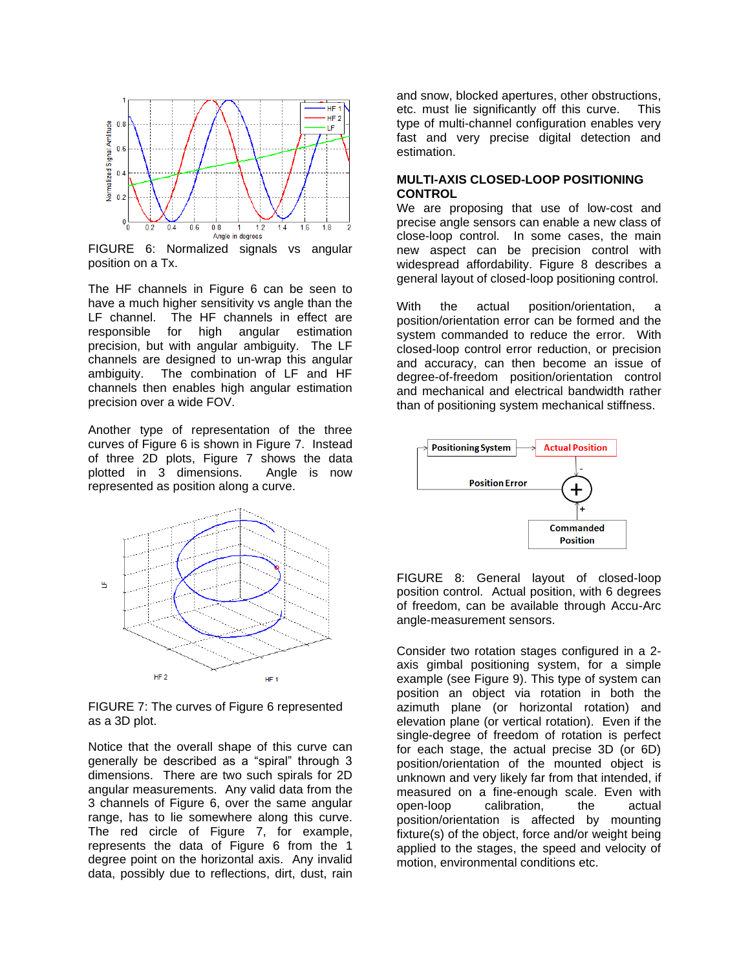

FIGURE 6: Normalized signals vs angular position on a Tx.

The HF channels in Figure 6 can be seen to have a much higher sensitivity vs angle than the LF channel. The HF channels in effect are responsible for high angular estimation precision, but with angular ambiguity. The LF channels are designed to un-wrap this angular ambiguity. The combination of LF and HF channels then enables high angular estimation precision over a wide FOV.

Another type of representation of the three curves of Figure 6 is shown in Figure 7. Instead of three 2D plots, Figure 7 shows the data plotted in 3 dimensions. Angle is now represented as position along a curve.



FIGURE 7: The curves of Figure 6 represented as a 3D plot.

Notice that the overall shape of this curve can generally be described as a "spiral" through 3 dimensions. There are two such spirals for 2D angular measurements. Any valid data from the 3 channels of Figure 6, over the same angular range, has to lie somewhere along this curve. The red circle of Figure 7, for example, represents the data of Figure 6 from the 1 degree point on the horizontal axis. Any invalid data, possibly due to reflections, dirt, dust, rain

and snow, blocked apertures, other obstructions, etc. must lie significantly off this curve. This type of multi-channel configuration enables very fast and very precise digital detection and estimation.

#### **MULTI-AXIS CLOSED-LOOP POSITIONING CONTROL**

We are proposing that use of low-cost and precise angle sensors can enable a new class of close-loop control. In some cases, the main new aspect can be precision control with widespread affordability. Figure 8 describes a general layout of closed-loop positioning control.

With the actual position/orientation, a position/orientation error can be formed and the system commanded to reduce the error. With closed-loop control error reduction, or precision and accuracy, can then become an issue of degree-of-freedom position/orientation control and mechanical and electrical bandwidth rather than of positioning system mechanical stiffness.



FIGURE 8: General layout of closed-loop position control. Actual position, with 6 degrees of freedom, can be available through Accu-Arc angle-measurement sensors.

Consider two rotation stages configured in a 2 axis gimbal positioning system, for a simple example (see Figure 9). This type of system can position an object via rotation in both the azimuth plane (or horizontal rotation) and elevation plane (or vertical rotation). Even if the single-degree of freedom of rotation is perfect for each stage, the actual precise 3D (or 6D) position/orientation of the mounted object is unknown and very likely far from that intended, if measured on a fine-enough scale. Even with open-loop calibration, the actual position/orientation is affected by mounting fixture(s) of the object, force and/or weight being applied to the stages, the speed and velocity of motion, environmental conditions etc.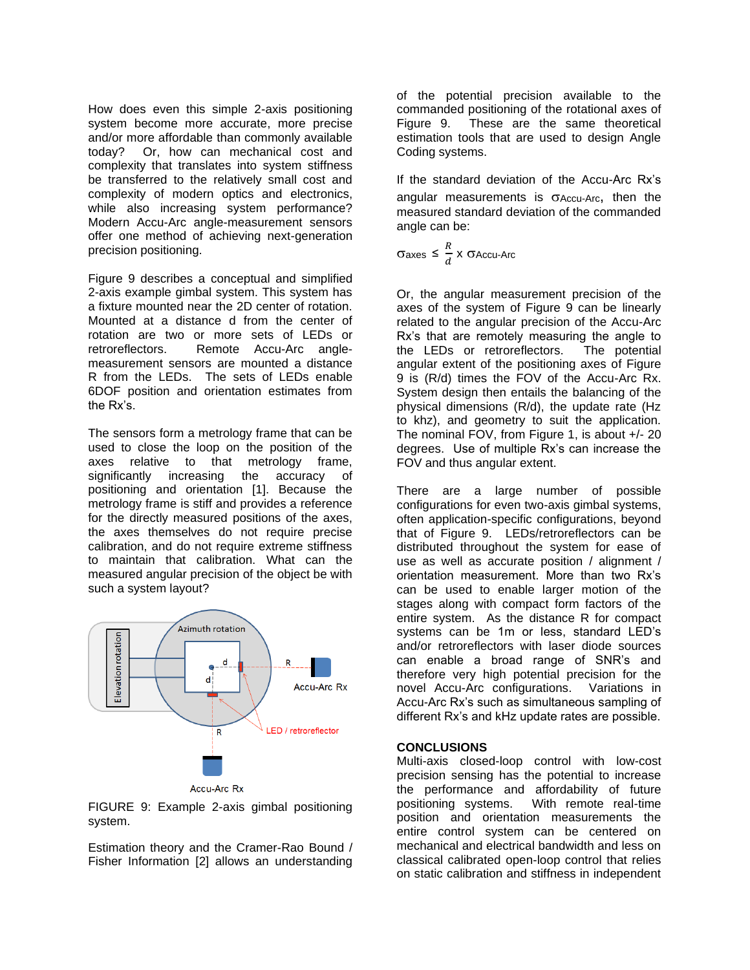How does even this simple 2-axis positioning system become more accurate, more precise and/or more affordable than commonly available today? Or, how can mechanical cost and complexity that translates into system stiffness be transferred to the relatively small cost and complexity of modern optics and electronics, while also increasing system performance? Modern Accu-Arc angle-measurement sensors offer one method of achieving next-generation precision positioning.

Figure 9 describes a conceptual and simplified 2-axis example gimbal system. This system has a fixture mounted near the 2D center of rotation. Mounted at a distance d from the center of rotation are two or more sets of LEDs or retroreflectors. Remote Accu-Arc anglemeasurement sensors are mounted a distance R from the LEDs. The sets of LEDs enable 6DOF position and orientation estimates from the Rx's.

The sensors form a metrology frame that can be used to close the loop on the position of the axes relative to that metrology frame, significantly increasing the accuracy of positioning and orientation [1]. Because the metrology frame is stiff and provides a reference for the directly measured positions of the axes, the axes themselves do not require precise calibration, and do not require extreme stiffness to maintain that calibration. What can the measured angular precision of the object be with such a system layout?



**Accu-Arc Rx** 

FIGURE 9: Example 2-axis gimbal positioning system.

Estimation theory and the Cramer-Rao Bound / Fisher Information [2] allows an understanding

of the potential precision available to the commanded positioning of the rotational axes of Figure 9. These are the same theoretical estimation tools that are used to design Angle Coding systems.

If the standard deviation of the Accu-Arc Rx's angular measurements is  $\sigma$ Accu-Arc, then the measured standard deviation of the commanded angle can be:

 $\sigma$ axes ≤  $\frac{R}{A}$  $\frac{\pi}{d}$  X  $\sigma$ Accu-Arc

Or, the angular measurement precision of the axes of the system of Figure 9 can be linearly related to the angular precision of the Accu-Arc Rx's that are remotely measuring the angle to the LEDs or retroreflectors. The potential angular extent of the positioning axes of Figure 9 is (R/d) times the FOV of the Accu-Arc Rx. System design then entails the balancing of the physical dimensions (R/d), the update rate (Hz to khz), and geometry to suit the application. The nominal FOV, from Figure 1, is about +/- 20 degrees. Use of multiple Rx's can increase the FOV and thus angular extent.

There are a large number of possible configurations for even two-axis gimbal systems, often application-specific configurations, beyond that of Figure 9. LEDs/retroreflectors can be distributed throughout the system for ease of use as well as accurate position / alignment / orientation measurement. More than two Rx's can be used to enable larger motion of the stages along with compact form factors of the entire system. As the distance R for compact systems can be 1m or less, standard LED's and/or retroreflectors with laser diode sources can enable a broad range of SNR's and therefore very high potential precision for the novel Accu-Arc configurations. Variations in Accu-Arc Rx's such as simultaneous sampling of different Rx's and kHz update rates are possible.

### **CONCLUSIONS**

Multi-axis closed-loop control with low-cost precision sensing has the potential to increase the performance and affordability of future positioning systems. With remote real-time position and orientation measurements the entire control system can be centered on mechanical and electrical bandwidth and less on classical calibrated open-loop control that relies on static calibration and stiffness in independent